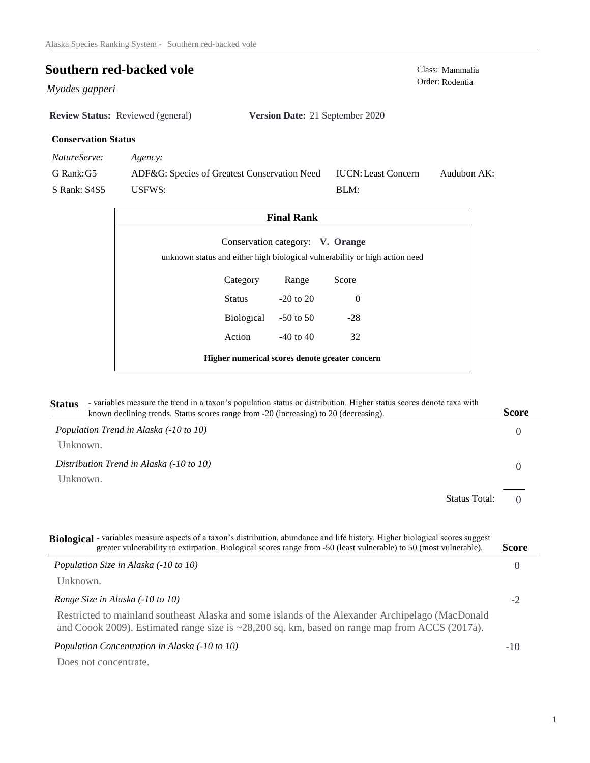USFWS:

## **Southern red-backed vole**<br>
Class: Mammalia<br>
Order: Rodentia

Order: Rodentia *Myodes gapperi* 

**Review Status:** Reviewed (general) **Version Date:** 21 September 2020

## **Conservation Status**

*NatureServe: Agency:*

G Rank:G5 S Rank: S4S5 ADF&G: Species of Greatest Conservation Need Audubon AK: BLM: IUCN:Least Concern

32

| <b>Final Rank</b>                                                           |  |
|-----------------------------------------------------------------------------|--|
| Conservation category: V. Orange                                            |  |
| unknown status and either high biological vulnerability or high action need |  |

0 -28 Range Category Range Score -20 to 20 -50 to 50 Status Biological

Action

**Higher numerical scores denote greater concern**

-40 to 40

| <b>Status</b> | - variables measure the trend in a taxon's population status or distribution. Higher status scores denote taxa with<br>known declining trends. Status scores range from -20 (increasing) to 20 (decreasing). | <b>Score</b> |
|---------------|--------------------------------------------------------------------------------------------------------------------------------------------------------------------------------------------------------------|--------------|
|               | Population Trend in Alaska (-10 to 10)                                                                                                                                                                       |              |
| Unknown.      |                                                                                                                                                                                                              |              |
|               | Distribution Trend in Alaska (-10 to 10)                                                                                                                                                                     |              |
| Unknown.      |                                                                                                                                                                                                              |              |

 $\Omega$ Status Total:

| Biological - variables measure aspects of a taxon's distribution, abundance and life history. Higher biological scores suggest<br>greater vulnerability to extirpation. Biological scores range from -50 (least vulnerable) to 50 (most vulnerable). | <b>Score</b> |
|------------------------------------------------------------------------------------------------------------------------------------------------------------------------------------------------------------------------------------------------------|--------------|
| Population Size in Alaska (-10 to 10)                                                                                                                                                                                                                | $\cup$       |
| Unknown.                                                                                                                                                                                                                                             |              |
| Range Size in Alaska (-10 to 10)                                                                                                                                                                                                                     | -2           |
| Restricted to mainland southeast Alaska and some islands of the Alexander Archipelago (MacDonald<br>and Coook 2009). Estimated range size is $\approx$ 28,200 sq. km, based on range map from ACCS (2017a).                                          |              |
| Population Concentration in Alaska (-10 to 10)                                                                                                                                                                                                       | $-10$        |
| Does not concentrate.                                                                                                                                                                                                                                |              |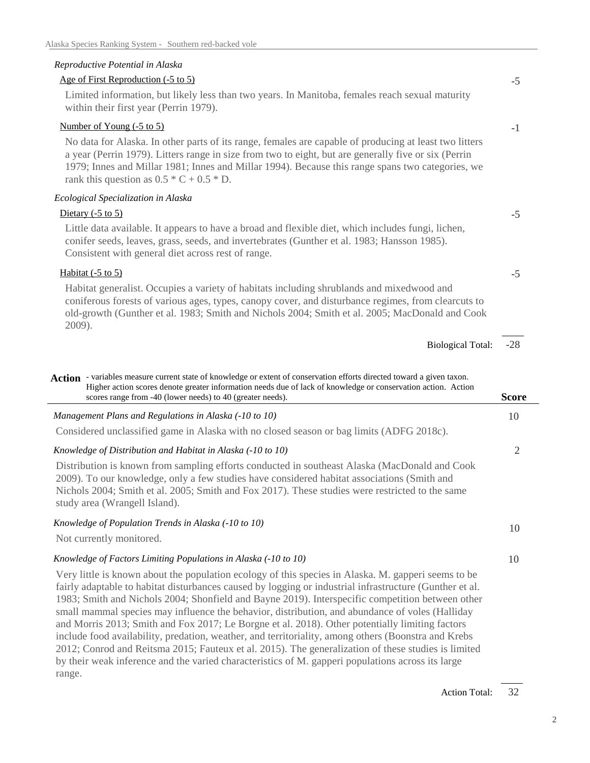## *Reproductive Potential in Alaska*

range.

| Age of First Reproduction (-5 to 5)                                                                                                                                                                                                                                                                                                                               | $-5$           |
|-------------------------------------------------------------------------------------------------------------------------------------------------------------------------------------------------------------------------------------------------------------------------------------------------------------------------------------------------------------------|----------------|
| Limited information, but likely less than two years. In Manitoba, females reach sexual maturity<br>within their first year (Perrin 1979).                                                                                                                                                                                                                         |                |
| Number of Young (-5 to 5)                                                                                                                                                                                                                                                                                                                                         | $-1$           |
| No data for Alaska. In other parts of its range, females are capable of producing at least two litters<br>a year (Perrin 1979). Litters range in size from two to eight, but are generally five or six (Perrin<br>1979; Innes and Millar 1981; Innes and Millar 1994). Because this range spans two categories, we<br>rank this question as $0.5 * C + 0.5 * D$ . |                |
| Ecological Specialization in Alaska                                                                                                                                                                                                                                                                                                                               |                |
| Dietary $(-5 \text{ to } 5)$                                                                                                                                                                                                                                                                                                                                      | $-5$           |
| Little data available. It appears to have a broad and flexible diet, which includes fungi, lichen,<br>conifer seeds, leaves, grass, seeds, and invertebrates (Gunther et al. 1983; Hansson 1985).<br>Consistent with general diet across rest of range.                                                                                                           |                |
| Habitat $(-5 \text{ to } 5)$                                                                                                                                                                                                                                                                                                                                      | $-5$           |
| Habitat generalist. Occupies a variety of habitats including shrublands and mixedwood and<br>coniferous forests of various ages, types, canopy cover, and disturbance regimes, from clearcuts to<br>old-growth (Gunther et al. 1983; Smith and Nichols 2004; Smith et al. 2005; MacDonald and Cook                                                                |                |
| 2009).                                                                                                                                                                                                                                                                                                                                                            |                |
| <b>Biological Total:</b>                                                                                                                                                                                                                                                                                                                                          | $-28$          |
| Action - variables measure current state of knowledge or extent of conservation efforts directed toward a given taxon.<br>Higher action scores denote greater information needs due of lack of knowledge or conservation action. Action<br>scores range from -40 (lower needs) to 40 (greater needs).                                                             | <b>Score</b>   |
| Management Plans and Regulations in Alaska (-10 to 10)                                                                                                                                                                                                                                                                                                            | 10             |
| Considered unclassified game in Alaska with no closed season or bag limits (ADFG 2018c).                                                                                                                                                                                                                                                                          |                |
| Knowledge of Distribution and Habitat in Alaska (-10 to 10)                                                                                                                                                                                                                                                                                                       | $\mathfrak{2}$ |
| Distribution is known from sampling efforts conducted in southeast Alaska (MacDonald and Cook<br>2009). To our knowledge, only a few studies have considered habitat associations (Smith and<br>Nichols 2004; Smith et al. 2005; Smith and Fox 2017). These studies were restricted to the same<br>study area (Wrangell Island).                                  |                |
| Knowledge of Population Trends in Alaska (-10 to 10)                                                                                                                                                                                                                                                                                                              |                |
| Not currently monitored.                                                                                                                                                                                                                                                                                                                                          | 10             |
| Knowledge of Factors Limiting Populations in Alaska (-10 to 10)                                                                                                                                                                                                                                                                                                   | 10             |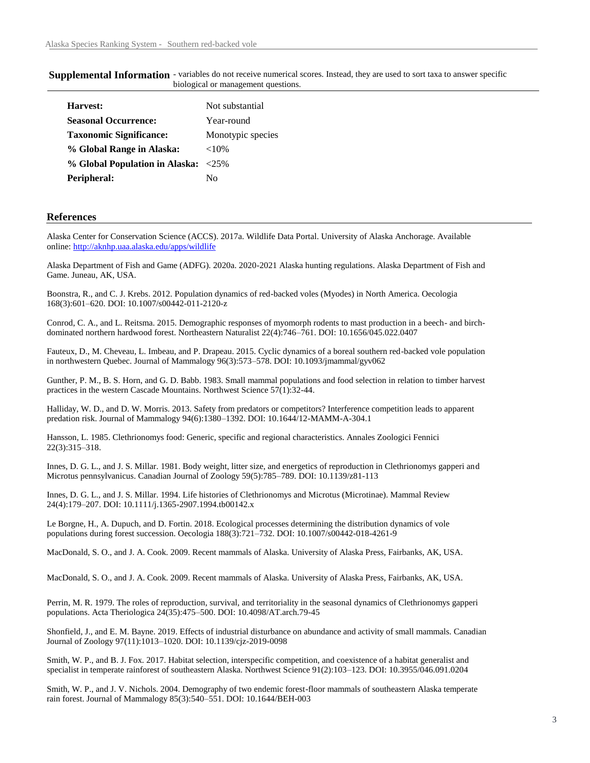| <b>Supplemental Information</b> - variables do not receive numerical scores. Instead, they are used to sort taxa to answer specific |                                     |  |  |  |
|-------------------------------------------------------------------------------------------------------------------------------------|-------------------------------------|--|--|--|
|                                                                                                                                     | biological or management questions. |  |  |  |

| Harvest:                            | Not substantial   |
|-------------------------------------|-------------------|
| <b>Seasonal Occurrence:</b>         | Year-round        |
| <b>Taxonomic Significance:</b>      | Monotypic species |
| % Global Range in Alaska:           | ${<}10\%$         |
| % Global Population in Alaska: <25% |                   |
| Peripheral:                         | Nο                |
|                                     |                   |

## **References**

Alaska Center for Conservation Science (ACCS). 2017a. Wildlife Data Portal. University of Alaska Anchorage. Available online: http://aknhp.uaa.alaska.edu/apps/wildlife

Alaska Department of Fish and Game (ADFG). 2020a. 2020-2021 Alaska hunting regulations. Alaska Department of Fish and Game. Juneau, AK, USA.

Boonstra, R., and C. J. Krebs. 2012. Population dynamics of red-backed voles (Myodes) in North America. Oecologia 168(3):601–620. DOI: 10.1007/s00442-011-2120-z

Conrod, C. A., and L. Reitsma. 2015. Demographic responses of myomorph rodents to mast production in a beech- and birchdominated northern hardwood forest. Northeastern Naturalist 22(4):746–761. DOI: 10.1656/045.022.0407

Fauteux, D., M. Cheveau, L. Imbeau, and P. Drapeau. 2015. Cyclic dynamics of a boreal southern red-backed vole population in northwestern Quebec. Journal of Mammalogy 96(3):573–578. DOI: 10.1093/jmammal/gyv062

Gunther, P. M., B. S. Horn, and G. D. Babb. 1983. Small mammal populations and food selection in relation to timber harvest practices in the western Cascade Mountains. Northwest Science 57(1):32-44.

Halliday, W. D., and D. W. Morris. 2013. Safety from predators or competitors? Interference competition leads to apparent predation risk. Journal of Mammalogy 94(6):1380–1392. DOI: 10.1644/12-MAMM-A-304.1

Hansson, L. 1985. Clethrionomys food: Generic, specific and regional characteristics. Annales Zoologici Fennici 22(3):315–318.

Innes, D. G. L., and J. S. Millar. 1981. Body weight, litter size, and energetics of reproduction in Clethrionomys gapperi and Microtus pennsylvanicus. Canadian Journal of Zoology 59(5):785–789. DOI: 10.1139/z81-113

Innes, D. G. L., and J. S. Millar. 1994. Life histories of Clethrionomys and Microtus (Microtinae). Mammal Review 24(4):179–207. DOI: 10.1111/j.1365-2907.1994.tb00142.x

Le Borgne, H., A. Dupuch, and D. Fortin. 2018. Ecological processes determining the distribution dynamics of vole populations during forest succession. Oecologia 188(3):721–732. DOI: 10.1007/s00442-018-4261-9

MacDonald, S. O., and J. A. Cook. 2009. Recent mammals of Alaska. University of Alaska Press, Fairbanks, AK, USA.

MacDonald, S. O., and J. A. Cook. 2009. Recent mammals of Alaska. University of Alaska Press, Fairbanks, AK, USA.

Perrin, M. R. 1979. The roles of reproduction, survival, and territoriality in the seasonal dynamics of Clethrionomys gapperi populations. Acta Theriologica 24(35):475–500. DOI: 10.4098/AT.arch.79-45

Shonfield, J., and E. M. Bayne. 2019. Effects of industrial disturbance on abundance and activity of small mammals. Canadian Journal of Zoology 97(11):1013–1020. DOI: 10.1139/cjz-2019-0098

Smith, W. P., and B. J. Fox. 2017. Habitat selection, interspecific competition, and coexistence of a habitat generalist and specialist in temperate rainforest of southeastern Alaska. Northwest Science 91(2):103–123. DOI: 10.3955/046.091.0204

Smith, W. P., and J. V. Nichols. 2004. Demography of two endemic forest-floor mammals of southeastern Alaska temperate rain forest. Journal of Mammalogy 85(3):540–551. DOI: 10.1644/BEH-003